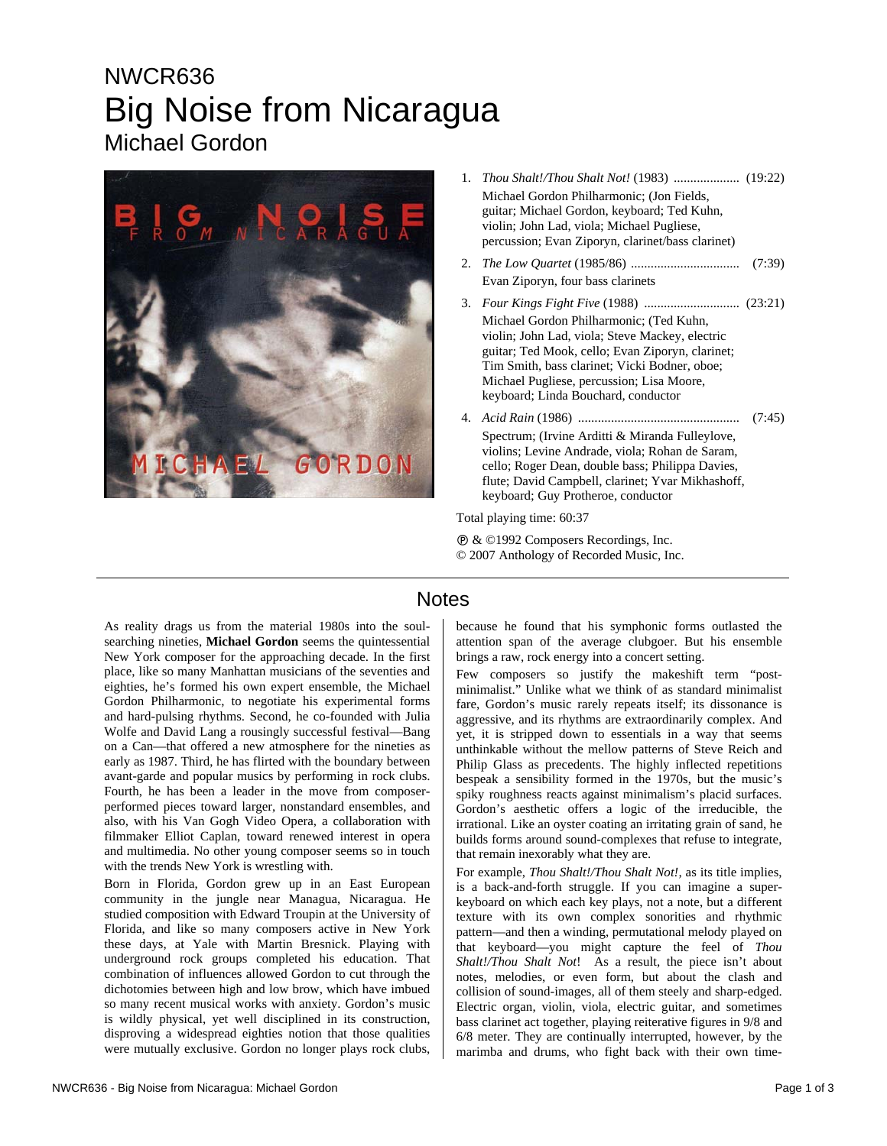## NWCR636 Big Noise from Nicaragua Michael Gordon



| 1.                        | Michael Gordon Philharmonic; (Jon Fields,<br>guitar; Michael Gordon, keyboard; Ted Kuhn,<br>violin; John Lad, viola; Michael Pugliese,<br>percussion; Evan Ziporyn, clarinet/bass clarinet)                                                                                         |        |
|---------------------------|-------------------------------------------------------------------------------------------------------------------------------------------------------------------------------------------------------------------------------------------------------------------------------------|--------|
| 2.                        | Evan Ziporyn, four bass clarinets                                                                                                                                                                                                                                                   | (7:39) |
| 3.                        | Michael Gordon Philharmonic; (Ted Kuhn,<br>violin; John Lad, viola; Steve Mackey, electric<br>guitar; Ted Mook, cello; Evan Ziporyn, clarinet;<br>Tim Smith, bass clarinet; Vicki Bodner, oboe;<br>Michael Pugliese, percussion; Lisa Moore,<br>keyboard; Linda Bouchard, conductor |        |
|                           | Spectrum; (Irvine Arditti & Miranda Fulleylove,<br>violins; Levine Andrade, viola; Rohan de Saram,<br>cello; Roger Dean, double bass; Philippa Davies,<br>flute; David Campbell, clarinet; Yvar Mikhashoff,<br>keyboard; Guy Protheroe, conductor                                   |        |
| Total playing time: 60:37 |                                                                                                                                                                                                                                                                                     |        |

Ê & ©1992 Composers Recordings, Inc. © 2007 Anthology of Recorded Music, Inc.

## **Notes**

As reality drags us from the material 1980s into the soulsearching nineties, **Michael Gordon** seems the quintessential New York composer for the approaching decade. In the first place, like so many Manhattan musicians of the seventies and eighties, he's formed his own expert ensemble, the Michael Gordon Philharmonic, to negotiate his experimental forms and hard-pulsing rhythms. Second, he co-founded with Julia Wolfe and David Lang a rousingly successful festival—Bang on a Can—that offered a new atmosphere for the nineties as early as 1987. Third, he has flirted with the boundary between avant-garde and popular musics by performing in rock clubs. Fourth, he has been a leader in the move from composerperformed pieces toward larger, nonstandard ensembles, and also, with his Van Gogh Video Opera, a collaboration with filmmaker Elliot Caplan, toward renewed interest in opera and multimedia. No other young composer seems so in touch with the trends New York is wrestling with.

Born in Florida, Gordon grew up in an East European community in the jungle near Managua, Nicaragua. He studied composition with Edward Troupin at the University of Florida, and like so many composers active in New York these days, at Yale with Martin Bresnick. Playing with underground rock groups completed his education. That combination of influences allowed Gordon to cut through the dichotomies between high and low brow, which have imbued so many recent musical works with anxiety. Gordon's music is wildly physical, yet well disciplined in its construction, disproving a widespread eighties notion that those qualities were mutually exclusive. Gordon no longer plays rock clubs,

because he found that his symphonic forms outlasted the attention span of the average clubgoer. But his ensemble brings a raw, rock energy into a concert setting.

Few composers so justify the makeshift term "postminimalist." Unlike what we think of as standard minimalist fare, Gordon's music rarely repeats itself; its dissonance is aggressive, and its rhythms are extraordinarily complex. And yet, it is stripped down to essentials in a way that seems unthinkable without the mellow patterns of Steve Reich and Philip Glass as precedents. The highly inflected repetitions bespeak a sensibility formed in the 1970s, but the music's spiky roughness reacts against minimalism's placid surfaces. Gordon's aesthetic offers a logic of the irreducible, the irrational. Like an oyster coating an irritating grain of sand, he builds forms around sound-complexes that refuse to integrate, that remain inexorably what they are.

For example, *Thou Shalt!/Thou Shalt Not!,* as its title implies, is a back-and-forth struggle. If you can imagine a superkeyboard on which each key plays, not a note, but a different texture with its own complex sonorities and rhythmic pattern—and then a winding, permutational melody played on that keyboard—you might capture the feel of *Thou Shalt!/Thou Shalt Not*! As a result, the piece isn't about notes, melodies, or even form, but about the clash and collision of sound-images, all of them steely and sharp-edged. Electric organ, violin, viola, electric guitar, and sometimes bass clarinet act together, playing reiterative figures in 9/8 and 6/8 meter. They are continually interrupted, however, by the marimba and drums, who fight back with their own time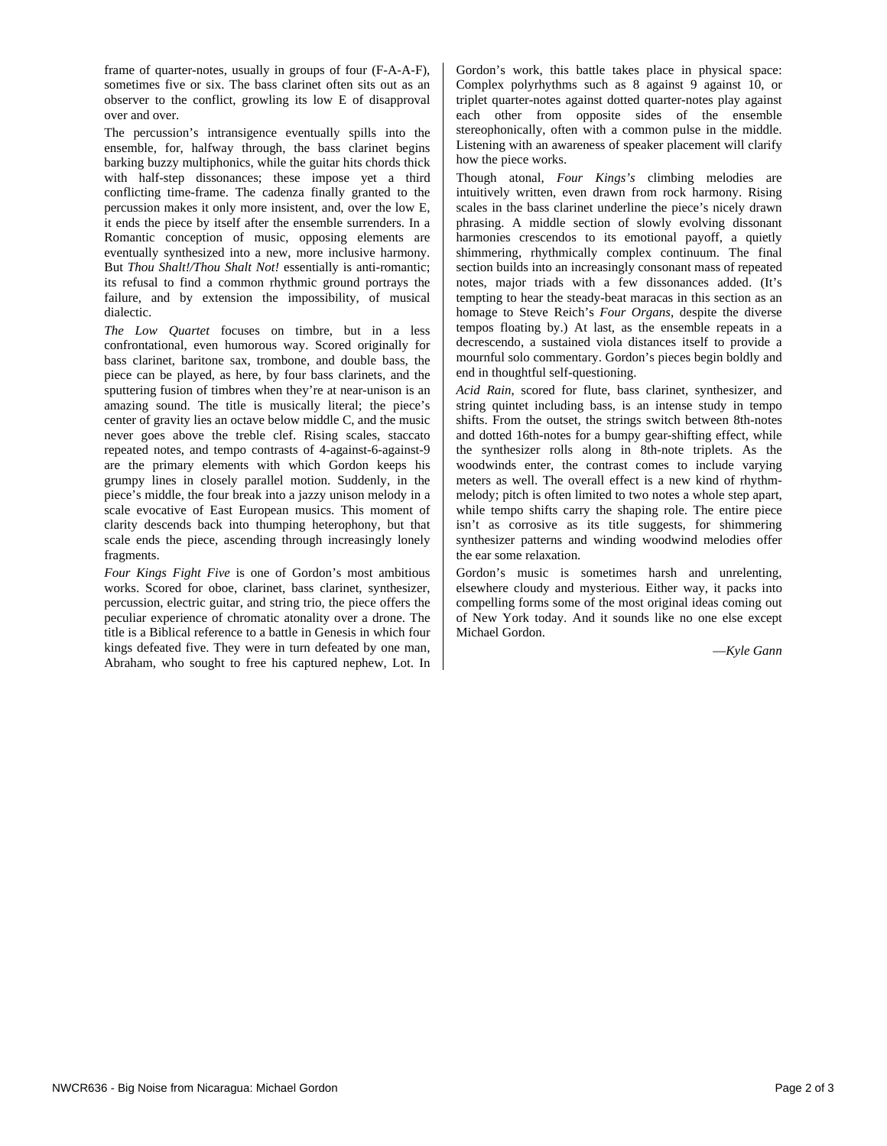frame of quarter-notes, usually in groups of four (F-A-A-F), sometimes five or six. The bass clarinet often sits out as an observer to the conflict, growling its low E of disapproval over and over.

The percussion's intransigence eventually spills into the ensemble, for, halfway through, the bass clarinet begins barking buzzy multiphonics, while the guitar hits chords thick with half-step dissonances; these impose yet a third conflicting time-frame. The cadenza finally granted to the percussion makes it only more insistent, and, over the low E, it ends the piece by itself after the ensemble surrenders. In a Romantic conception of music, opposing elements are eventually synthesized into a new, more inclusive harmony. But *Thou Shalt!/Thou Shalt Not!* essentially is anti-romantic; its refusal to find a common rhythmic ground portrays the failure, and by extension the impossibility, of musical dialectic.

*The Low Quartet* focuses on timbre, but in a less confrontational, even humorous way. Scored originally for bass clarinet, baritone sax, trombone, and double bass, the piece can be played, as here, by four bass clarinets, and the sputtering fusion of timbres when they're at near-unison is an amazing sound. The title is musically literal; the piece's center of gravity lies an octave below middle C, and the music never goes above the treble clef. Rising scales, staccato repeated notes, and tempo contrasts of 4-against-6-against-9 are the primary elements with which Gordon keeps his grumpy lines in closely parallel motion. Suddenly, in the piece's middle, the four break into a jazzy unison melody in a scale evocative of East European musics. This moment of clarity descends back into thumping heterophony, but that scale ends the piece, ascending through increasingly lonely fragments.

*Four Kings Fight Five* is one of Gordon's most ambitious works. Scored for oboe, clarinet, bass clarinet, synthesizer, percussion, electric guitar, and string trio, the piece offers the peculiar experience of chromatic atonality over a drone. The title is a Biblical reference to a battle in Genesis in which four kings defeated five. They were in turn defeated by one man, Abraham, who sought to free his captured nephew, Lot. In Gordon's work, this battle takes place in physical space: Complex polyrhythms such as 8 against 9 against 10, or triplet quarter-notes against dotted quarter-notes play against each other from opposite sides of the ensemble stereophonically, often with a common pulse in the middle. Listening with an awareness of speaker placement will clarify how the piece works.

Though atonal, *Four Kings's* climbing melodies are intuitively written, even drawn from rock harmony. Rising scales in the bass clarinet underline the piece's nicely drawn phrasing. A middle section of slowly evolving dissonant harmonies crescendos to its emotional payoff, a quietly shimmering, rhythmically complex continuum. The final section builds into an increasingly consonant mass of repeated notes, major triads with a few dissonances added. (It's tempting to hear the steady-beat maracas in this section as an homage to Steve Reich's *Four Organs*, despite the diverse tempos floating by.) At last, as the ensemble repeats in a decrescendo, a sustained viola distances itself to provide a mournful solo commentary. Gordon's pieces begin boldly and end in thoughtful self-questioning.

*Acid Rain*, scored for flute, bass clarinet, synthesizer, and string quintet including bass, is an intense study in tempo shifts. From the outset, the strings switch between 8th-notes and dotted 16th-notes for a bumpy gear-shifting effect, while the synthesizer rolls along in 8th-note triplets. As the woodwinds enter, the contrast comes to include varying meters as well. The overall effect is a new kind of rhythmmelody; pitch is often limited to two notes a whole step apart, while tempo shifts carry the shaping role. The entire piece isn't as corrosive as its title suggests, for shimmering synthesizer patterns and winding woodwind melodies offer the ear some relaxation.

Gordon's music is sometimes harsh and unrelenting, elsewhere cloudy and mysterious. Either way, it packs into compelling forms some of the most original ideas coming out of New York today. And it sounds like no one else except Michael Gordon.

—*Kyle Gann*